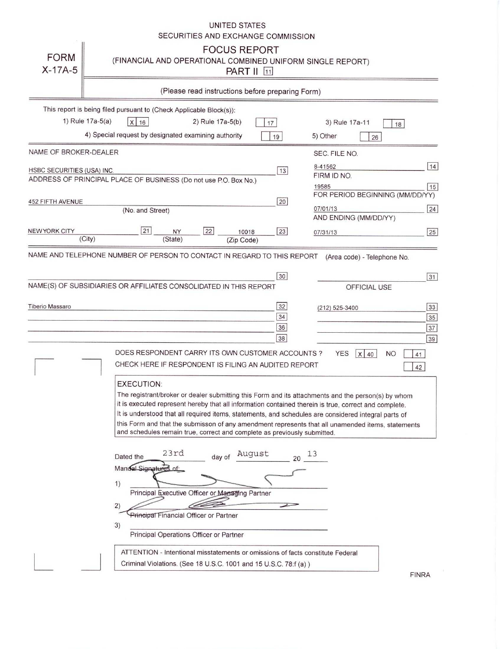|                                                                                                |                                                                          |                                                                             |                      |                  | UNITED STATES<br>SECURITIES AND EXCHANGE COMMISSION                                                      |          |                                                                                                                                                                                                                                                                                                                                                                                                                          |                             |           |
|------------------------------------------------------------------------------------------------|--------------------------------------------------------------------------|-----------------------------------------------------------------------------|----------------------|------------------|----------------------------------------------------------------------------------------------------------|----------|--------------------------------------------------------------------------------------------------------------------------------------------------------------------------------------------------------------------------------------------------------------------------------------------------------------------------------------------------------------------------------------------------------------------------|-----------------------------|-----------|
| <b>FORM</b><br>$X-17A-5$                                                                       |                                                                          |                                                                             |                      |                  | <b>FOCUS REPORT</b><br><b>PART II</b> [11]                                                               |          | (FINANCIAL AND OPERATIONAL COMBINED UNIFORM SINGLE REPORT)                                                                                                                                                                                                                                                                                                                                                               |                             |           |
|                                                                                                |                                                                          |                                                                             |                      |                  | (Please read instructions before preparing Form)                                                         |          |                                                                                                                                                                                                                                                                                                                                                                                                                          |                             |           |
| This report is being filed pursuant to (Check Applicable Block(s)):                            |                                                                          |                                                                             |                      |                  |                                                                                                          |          |                                                                                                                                                                                                                                                                                                                                                                                                                          |                             |           |
|                                                                                                | 1) Rule 17a-5(a)<br>4) Special request by designated examining authority | $X$ 16                                                                      |                      | 2) Rule 17a-5(b) |                                                                                                          | 17<br>19 | 3) Rule 17a-11<br>5) Other                                                                                                                                                                                                                                                                                                                                                                                               | 18<br>26                    |           |
| NAME OF BROKER-DEALER                                                                          |                                                                          |                                                                             |                      |                  |                                                                                                          |          | SEC. FILE NO.                                                                                                                                                                                                                                                                                                                                                                                                            |                             |           |
| HSBC SECURITIES (USA) INC.<br>ADDRESS OF PRINCIPAL PLACE OF BUSINESS (Do not use P.O. Box No.) |                                                                          |                                                                             |                      |                  |                                                                                                          | 13       | 8-41562<br>FIRM ID NO.<br>19585                                                                                                                                                                                                                                                                                                                                                                                          |                             | 14 <br>15 |
| <b>452 FIFTH AVENUE</b>                                                                        |                                                                          |                                                                             |                      |                  |                                                                                                          | 20       | FOR PERIOD BEGINNING (MM/DD/YY)                                                                                                                                                                                                                                                                                                                                                                                          |                             |           |
|                                                                                                |                                                                          | (No. and Street)                                                            |                      |                  |                                                                                                          |          | 07/01/13<br>AND ENDING (MM/DD/YY)                                                                                                                                                                                                                                                                                                                                                                                        |                             | 24        |
| <b>NEW YORK CITY</b>                                                                           | (City)                                                                   | 21                                                                          | <b>NY</b><br>(State) | 22               | 10018                                                                                                    | 23       | 07/31/13                                                                                                                                                                                                                                                                                                                                                                                                                 |                             | 25        |
| NAME AND TELEPHONE NUMBER OF PERSON TO CONTACT IN REGARD TO THIS REPORT                        |                                                                          |                                                                             |                      |                  | (Zip Code)                                                                                               |          |                                                                                                                                                                                                                                                                                                                                                                                                                          |                             |           |
|                                                                                                |                                                                          |                                                                             |                      |                  |                                                                                                          |          |                                                                                                                                                                                                                                                                                                                                                                                                                          | (Area code) - Telephone No. |           |
| NAME(S) OF SUBSIDIARIES OR AFFILIATES CONSOLIDATED IN THIS REPORT                              |                                                                          |                                                                             |                      |                  |                                                                                                          | 30       |                                                                                                                                                                                                                                                                                                                                                                                                                          | OFFICIAL USE                | 31        |
|                                                                                                |                                                                          |                                                                             |                      |                  |                                                                                                          |          |                                                                                                                                                                                                                                                                                                                                                                                                                          |                             |           |
| <b>Tiberio Massaro</b>                                                                         |                                                                          |                                                                             |                      |                  |                                                                                                          | 32<br>34 | (212) 525-3400                                                                                                                                                                                                                                                                                                                                                                                                           |                             | 33<br>35  |
|                                                                                                |                                                                          |                                                                             |                      |                  |                                                                                                          | 36       |                                                                                                                                                                                                                                                                                                                                                                                                                          |                             | 37        |
|                                                                                                |                                                                          |                                                                             |                      |                  |                                                                                                          | 38       |                                                                                                                                                                                                                                                                                                                                                                                                                          |                             | 39        |
|                                                                                                |                                                                          |                                                                             |                      |                  | DOES RESPONDENT CARRY ITS OWN CUSTOMER ACCOUNTS?<br>CHECK HERE IF RESPONDENT IS FILING AN AUDITED REPORT |          | <b>YES</b>                                                                                                                                                                                                                                                                                                                                                                                                               | <b>NO</b><br> x <br>40      | 41        |
|                                                                                                |                                                                          |                                                                             |                      |                  |                                                                                                          |          |                                                                                                                                                                                                                                                                                                                                                                                                                          |                             | 42        |
|                                                                                                |                                                                          | <b>EXECUTION:</b>                                                           |                      |                  | and schedules remain true, correct and complete as previously submitted.                                 |          | The registrant/broker or dealer submitting this Form and its attachments and the person(s) by whom<br>it is executed represent hereby that all information contained therein is true, correct and complete.<br>It is understood that all required items, statements, and schedules are considered integral parts of<br>this Form and that the submisson of any amendment represents that all unamended items, statements |                             |           |
|                                                                                                | 1)<br>2)                                                                 | Dated the<br>Manual Signatures of<br>Principal Financial Officer or Partner | 23rd                 |                  | August<br>day of<br>Principal Executive Officer or Managing Partner                                      | 20       | 13                                                                                                                                                                                                                                                                                                                                                                                                                       |                             |           |
|                                                                                                | 3)                                                                       |                                                                             |                      |                  |                                                                                                          |          |                                                                                                                                                                                                                                                                                                                                                                                                                          |                             |           |
|                                                                                                |                                                                          | Principal Operations Officer or Partner                                     |                      |                  |                                                                                                          |          |                                                                                                                                                                                                                                                                                                                                                                                                                          |                             |           |
|                                                                                                |                                                                          |                                                                             |                      |                  | Criminal Violations. (See 18 U.S.C. 1001 and 15 U.S.C. 78:f (a))                                         |          | ATTENTION - Intentional misstatements or omissions of facts constitute Federal                                                                                                                                                                                                                                                                                                                                           |                             |           |

**FINRA**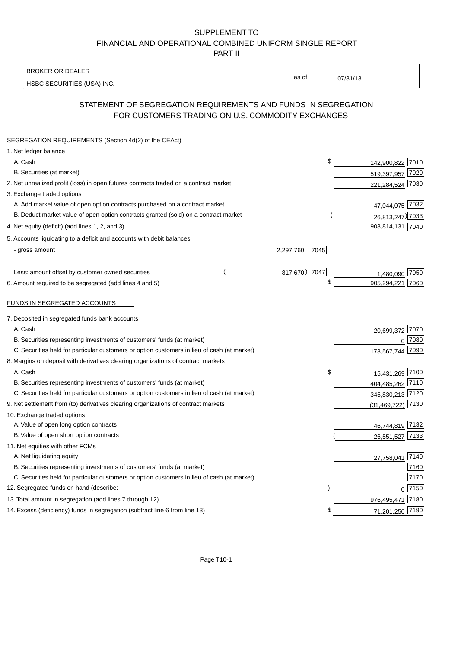#### SUPPLEMENT TO FINANCIAL AND OPERATIONAL COMBINED UNIFORM SINGLE REPORT PART II

#### BROKER OR DEALER

HSBC SECURITIES (USA) INC.

 $07/31/13$ 

as of

## STATEMENT OF SEGREGATION REQUIREMENTS AND FUNDS IN SEGREGATION FOR CUSTOMERS TRADING ON U.S. COMMODITY EXCHANGES

| SEGREGATION REQUIREMENTS (Section 4d(2) of the CEAct)                                       |      |                  |      |
|---------------------------------------------------------------------------------------------|------|------------------|------|
| 1. Net ledger balance                                                                       |      |                  |      |
| A. Cash                                                                                     | \$   | 142,900,822 7010 |      |
| B. Securities (at market)                                                                   |      | 519,397,957 7020 |      |
| 2. Net unrealized profit (loss) in open futures contracts traded on a contract market       |      | 221,284,524 7030 |      |
| 3. Exchange traded options                                                                  |      |                  |      |
| A. Add market value of open option contracts purchased on a contract market                 |      | 47,044,075 7032  |      |
| B. Deduct market value of open option contracts granted (sold) on a contract market         |      | 26,813,247) 7033 |      |
| 4. Net equity (deficit) (add lines 1, 2, and 3)                                             |      | 903,814,131 7040 |      |
| 5. Accounts liquidating to a deficit and accounts with debit balances                       |      |                  |      |
| - gross amount<br>2,297,760                                                                 | 7045 |                  |      |
|                                                                                             |      |                  |      |
| 817,670) 7047<br>Less: amount offset by customer owned securities                           |      | 1,480,090 7050   |      |
| 6. Amount required to be segregated (add lines 4 and 5)                                     | \$   | 905,294,221 7060 |      |
|                                                                                             |      |                  |      |
| FUNDS IN SEGREGATED ACCOUNTS                                                                |      |                  |      |
| 7. Deposited in segregated funds bank accounts                                              |      |                  |      |
| A. Cash                                                                                     |      | 20,699,372       | 7070 |
| B. Securities representing investments of customers' funds (at market)                      |      |                  | 7080 |
| C. Securities held for particular customers or option customers in lieu of cash (at market) |      | 173,567,744      | 7090 |
| 8. Margins on deposit with derivatives clearing organizations of contract markets           |      |                  |      |
| A. Cash                                                                                     | \$   | 15,431,269       | 7100 |
| B. Securities representing investments of customers' funds (at market)                      |      | 404,485,262      | 7110 |
| C. Securities held for particular customers or option customers in lieu of cash (at market) |      | 345,830,213      | 7120 |
| 9. Net settlement from (to) derivatives clearing organizations of contract markets          |      | (31, 469, 722)   | 7130 |
| 10. Exchange traded options                                                                 |      |                  |      |
| A. Value of open long option contracts                                                      |      | 46,744,819 7132  |      |
| B. Value of open short option contracts                                                     |      | 26,551,527 7133  |      |
| 11. Net equities with other FCMs                                                            |      |                  |      |
| A. Net liquidating equity                                                                   |      | 27,758,041 7140  |      |
| B. Securities representing investments of customers' funds (at market)                      |      |                  | 7160 |
| C. Securities held for particular customers or option customers in lieu of cash (at market) |      |                  | 7170 |
| 12. Segregated funds on hand (describe:                                                     |      | $\Omega$         | 7150 |
| 13. Total amount in segregation (add lines 7 through 12)                                    |      | 976,495,471      | 7180 |
| 14. Excess (deficiency) funds in segregation (subtract line 6 from line 13)                 | \$   | 71,201,250 7190  |      |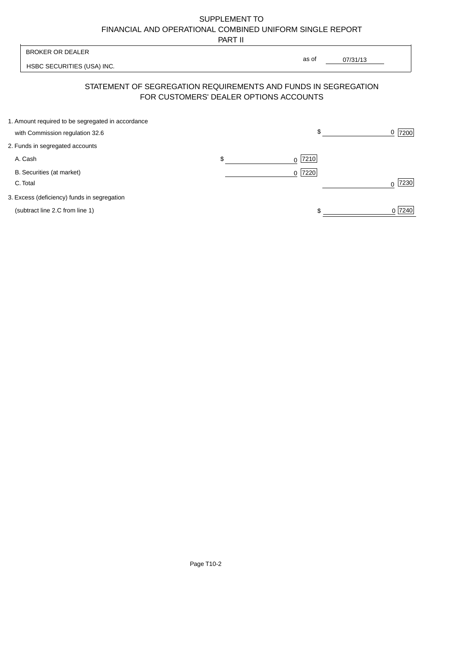# SUPPLEMENT TO FINANCIAL AND OPERATIONAL COMBINED UNIFORM SINGLE REPORT

PART II

 $\overline{\phantom{a}}$ 

| <b>BROKER OR DEALER</b>                                                              |                                        | as of     |          |                  |
|--------------------------------------------------------------------------------------|----------------------------------------|-----------|----------|------------------|
| HSBC SECURITIES (USA) INC.                                                           |                                        |           | 07/31/13 |                  |
| STATEMENT OF SEGREGATION REQUIREMENTS AND FUNDS IN SEGREGATION                       | FOR CUSTOMERS' DEALER OPTIONS ACCOUNTS |           |          |                  |
| 1. Amount required to be segregated in accordance<br>with Commission regulation 32.6 |                                        | \$        |          | 7200<br>0        |
| 2. Funds in segregated accounts                                                      |                                        |           |          |                  |
| A. Cash                                                                              | \$                                     | 7210<br>0 |          |                  |
| B. Securities (at market)<br>C. Total                                                |                                        | 7220<br>0 |          | 7230<br>$\Omega$ |
| 3. Excess (deficiency) funds in segregation                                          |                                        |           |          |                  |
| (subtract line 2.C from line 1)                                                      |                                        |           |          | 0 7240           |

 $\overline{1}$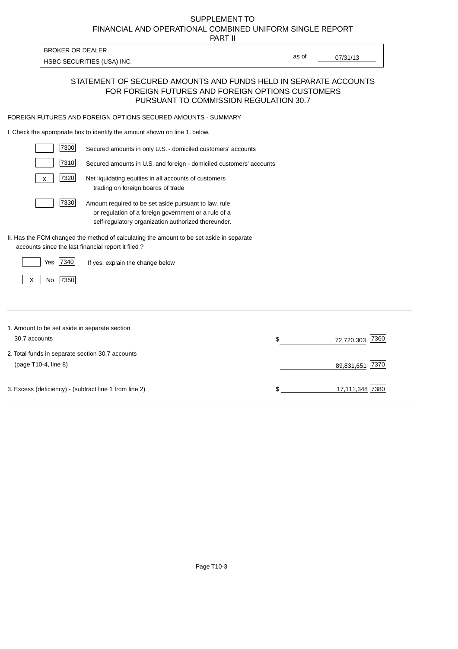# FINANCIAL AND OPERATIONAL COMBINED UNIFORM SINGLE REPORT SUPPLEMENT TO

PART II

HSBC SECURITIES (USA) INC.

BROKER OR DEALER

07/31/13

as of

#### STATEMENT OF SECURED AMOUNTS AND FUNDS HELD IN SEPARATE ACCOUNTS FOR FOREIGN FUTURES AND FOREIGN OPTIONS CUSTOMERS PURSUANT TO COMMISSION REGULATION 30.7

#### FOREIGN FUTURES AND FOREIGN OPTIONS SECURED AMOUNTS - SUMMARY

I. Check the appropriate box to identify the amount shown on line 1. below.

| 7300                                                   | Secured amounts in only U.S. - domiciled customers' accounts                                                                                                         |    |                    |
|--------------------------------------------------------|----------------------------------------------------------------------------------------------------------------------------------------------------------------------|----|--------------------|
| 7310                                                   | Secured amounts in U.S. and foreign - domiciled customers' accounts                                                                                                  |    |                    |
| 7320<br>X                                              | Net liquidating equities in all accounts of customers<br>trading on foreign boards of trade                                                                          |    |                    |
| 7330                                                   | Amount required to be set aside pursuant to law, rule<br>or regulation of a foreign government or a rule of a<br>self-regulatory organization authorized thereunder. |    |                    |
| accounts since the last financial report it filed?     | II. Has the FCM changed the method of calculating the amount to be set aside in separate                                                                             |    |                    |
| 7340<br>Yes                                            | If yes, explain the change below                                                                                                                                     |    |                    |
| 7350<br>No<br>X                                        |                                                                                                                                                                      |    |                    |
|                                                        |                                                                                                                                                                      |    |                    |
| 1. Amount to be set aside in separate section          |                                                                                                                                                                      |    |                    |
| 30.7 accounts                                          |                                                                                                                                                                      | \$ | 7360<br>72,720,303 |
| 2. Total funds in separate section 30.7 accounts       |                                                                                                                                                                      |    |                    |
| (page T10-4, line 8)                                   |                                                                                                                                                                      |    | 7370<br>89,831,651 |
| 3. Excess (deficiency) - (subtract line 1 from line 2) |                                                                                                                                                                      | S  | 17,111,348 7380    |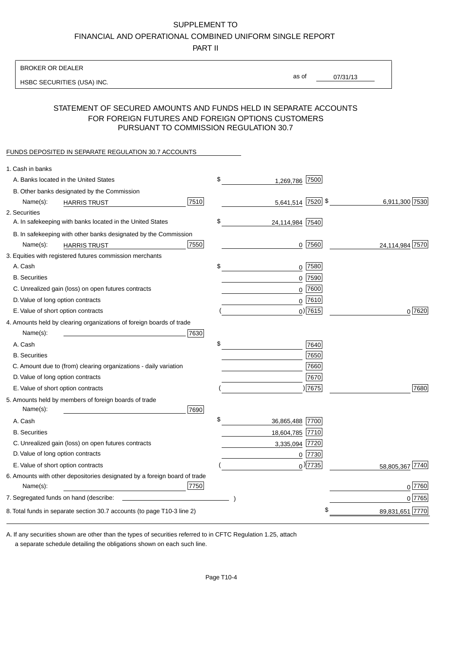#### SUPPLEMENT TO

FINANCIAL AND OPERATIONAL COMBINED UNIFORM SINGLE REPORT

PART II

#### BROKER OR DEALER

HSBC SECURITIES (USA) INC.

07/31/13 as of

#### STATEMENT OF SECURED AMOUNTS AND FUNDS HELD IN SEPARATE ACCOUNTS FOR FOREIGN FUTURES AND FOREIGN OPTIONS CUSTOMERS PURSUANT TO COMMISSION REGULATION 30.7

#### FUNDS DEPOSITED IN SEPARATE REGULATION 30.7 ACCOUNTS

| 1. Cash in banks                                                                              |                       |                 |
|-----------------------------------------------------------------------------------------------|-----------------------|-----------------|
| A. Banks located in the United States                                                         | \$<br>1,269,786 7500  |                 |
| B. Other banks designated by the Commission                                                   |                       |                 |
| 7510<br>Name(s):<br><b>HARRIS TRUST</b>                                                       | 5,641,514 7520 \$     | 6,911,300 7530  |
| 2. Securities                                                                                 |                       |                 |
| A. In safekeeping with banks located in the United States                                     | \$<br>24,114,984 7540 |                 |
| B. In safekeeping with other banks designated by the Commission                               |                       |                 |
| 7550<br>Name(s):<br><b>HARRIS TRUST</b>                                                       | $0$ 7560              | 24,114,984 7570 |
| 3. Equities with registered futures commission merchants                                      |                       |                 |
| A. Cash                                                                                       | \$<br>$0$ 7580        |                 |
| <b>B.</b> Securities                                                                          | $0$ 7590              |                 |
| C. Unrealized gain (loss) on open futures contracts                                           | $0$ 7600              |                 |
| D. Value of long option contracts                                                             | $0$ 7610              |                 |
| E. Value of short option contracts                                                            | $0$ ) 7615            | 0 7620          |
| 4. Amounts held by clearing organizations of foreign boards of trade                          |                       |                 |
| Name(s):<br>7630                                                                              |                       |                 |
| A. Cash                                                                                       | \$<br>7640            |                 |
| <b>B.</b> Securities                                                                          | 7650                  |                 |
| C. Amount due to (from) clearing organizations - daily variation                              | 7660                  |                 |
| D. Value of long option contracts                                                             | 7670                  |                 |
| E. Value of short option contracts                                                            | 7675                  | 7680            |
| 5. Amounts held by members of foreign boards of trade<br>Name(s):<br>7690                     |                       |                 |
| A. Cash                                                                                       | \$<br>36,865,488 7700 |                 |
| <b>B.</b> Securities                                                                          | 18,604,785 7710       |                 |
| C. Unrealized gain (loss) on open futures contracts                                           | 3,335,094 7720        |                 |
| D. Value of long option contracts                                                             | $0$  7730             |                 |
| E. Value of short option contracts                                                            | $_0$ ) 7735           | 58,805,367 7740 |
| 6. Amounts with other depositories designated by a foreign board of trade<br>7750<br>Name(s): |                       | 0 7760          |
|                                                                                               |                       | 0 7765          |
|                                                                                               | \$                    |                 |
| 8. Total funds in separate section 30.7 accounts (to page T10-3 line 2)                       |                       | 89,831,651 7770 |

a separate schedule detailing the obligations shown on each such line. A. If any securities shown are other than the types of securities referred to in CFTC Regulation 1.25, attach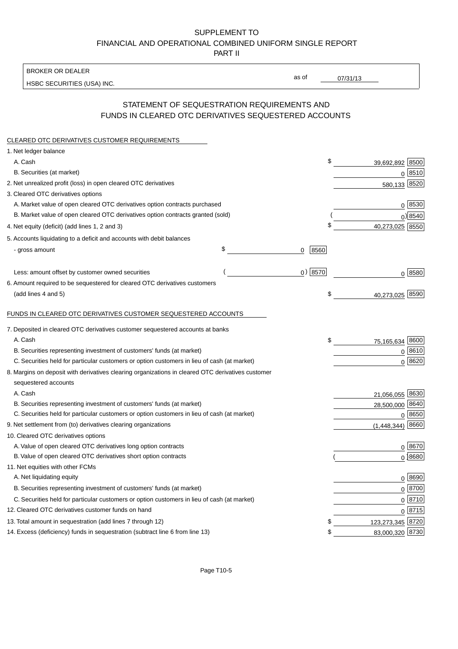# SUPPLEMENT TO FINANCIAL AND OPERATIONAL COMBINED UNIFORM SINGLE REPORT

PART II

BROKER OR DEALER

HSBC SECURITIES (USA) INC.

 $07/31/13$ 

as of

### STATEMENT OF SEQUESTRATION REQUIREMENTS AND FUNDS IN CLEARED OTC DERIVATIVES SEQUESTERED ACCOUNTS

| CLEARED OTC DERIVATIVES CUSTOMER REQUIREMENTS                                                                             |                 |                  |                     |
|---------------------------------------------------------------------------------------------------------------------------|-----------------|------------------|---------------------|
| 1. Net ledger balance                                                                                                     |                 |                  |                     |
| A. Cash                                                                                                                   | \$              | 39,692,892 8500  |                     |
| B. Securities (at market)                                                                                                 |                 |                  | 0 8510              |
| 2. Net unrealized profit (loss) in open cleared OTC derivatives                                                           |                 | 580,133 8520     |                     |
| 3. Cleared OTC derivatives options                                                                                        |                 |                  |                     |
| A. Market value of open cleared OTC derivatives option contracts purchased                                                |                 |                  | $0^{8530}$          |
| B. Market value of open cleared OTC derivatives option contracts granted (sold)                                           |                 |                  | $0$ ) 8540          |
| 4. Net equity (deficit) (add lines 1, 2 and 3)                                                                            | \$              | 40,273,025 8550  |                     |
| 5. Accounts liquidating to a deficit and accounts with debit balances                                                     |                 |                  |                     |
| - gross amount                                                                                                            | \$<br>8560<br>0 |                  |                     |
| Less: amount offset by customer owned securities                                                                          | $0)$ 8570       |                  | 0 8580              |
| 6. Amount required to be sequestered for cleared OTC derivatives customers                                                |                 |                  |                     |
| (add lines 4 and 5)                                                                                                       | \$              | 40,273,025 8590  |                     |
| FUNDS IN CLEARED OTC DERIVATIVES CUSTOMER SEQUESTERED ACCOUNTS                                                            |                 |                  |                     |
| 7. Deposited in cleared OTC derivatives customer sequestered accounts at banks                                            |                 |                  |                     |
| A. Cash                                                                                                                   | \$              | 75,165,634 8600  |                     |
| B. Securities representing investment of customers' funds (at market)                                                     |                 |                  | $0^{8610}$          |
| C. Securities held for particular customers or option customers in lieu of cash (at market)                               |                 | $\overline{0}$   | 8620                |
| 8. Margins on deposit with derivatives clearing organizations in cleared OTC derivatives customer<br>sequestered accounts |                 |                  |                     |
| A. Cash                                                                                                                   |                 | 21,056,055 8630  |                     |
| B. Securities representing investment of customers' funds (at market)                                                     |                 | 28,500,000 8640  |                     |
| C. Securities held for particular customers or option customers in lieu of cash (at market)                               |                 |                  | 0 8650              |
| 9. Net settlement from (to) derivatives clearing organizations                                                            |                 | (1,448,344)      | 8660                |
| 10. Cleared OTC derivatives options                                                                                       |                 |                  |                     |
| A. Value of open cleared OTC derivatives long option contracts                                                            |                 |                  | 0   8670            |
| B. Value of open cleared OTC derivatives short option contracts                                                           |                 |                  | 0 8680              |
| 11. Net equities with other FCMs                                                                                          |                 |                  |                     |
| A. Net liquidating equity                                                                                                 |                 |                  | 0   8690            |
| B. Securities representing investment of customers' funds (at market)                                                     |                 |                  | 0 8700              |
| C. Securities held for particular customers or option customers in lieu of cash (at market)                               |                 |                  | $0 \overline{8710}$ |
| 12. Cleared OTC derivatives customer funds on hand                                                                        |                 |                  | $0 \overline{8715}$ |
| 13. Total amount in sequestration (add lines 7 through 12)                                                                | \$              | 123,273,345 8720 |                     |
| 14. Excess (deficiency) funds in sequestration (subtract line 6 from line 13)                                             | \$              | 83,000,320 8730  |                     |